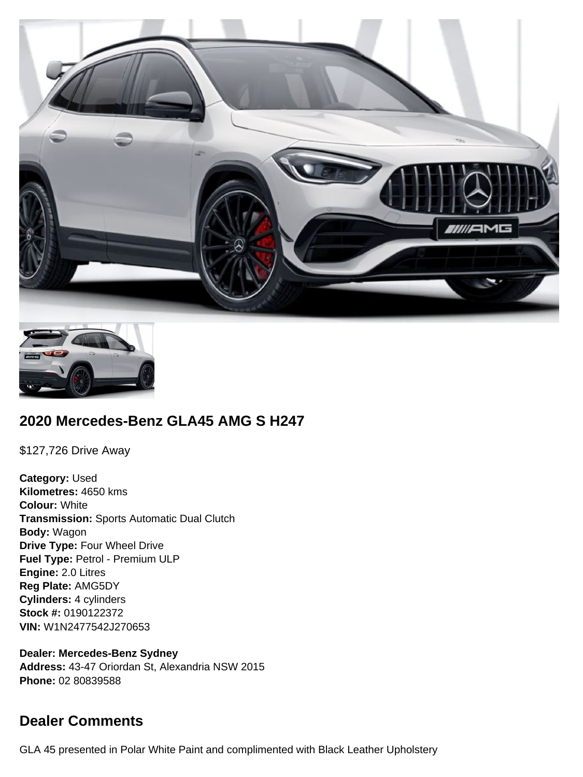



# **2020 Mercedes-Benz GLA45 AMG S H247**

\$127,726 Drive Away

**Category:** Used **Kilometres:** 4650 kms **Colour:** White **Transmission:** Sports Automatic Dual Clutch **Body:** Wagon **Drive Type:** Four Wheel Drive **Fuel Type:** Petrol - Premium ULP **Engine:** 2.0 Litres **Reg Plate:** AMG5DY **Cylinders:** 4 cylinders **Stock #:** 0190122372 **VIN:** W1N2477542J270653

**Dealer: Mercedes-Benz Sydney Address:** 43-47 Oriordan St, Alexandria NSW 2015 **Phone:** 02 80839588

# **Dealer Comments**

GLA 45 presented in Polar White Paint and complimented with Black Leather Upholstery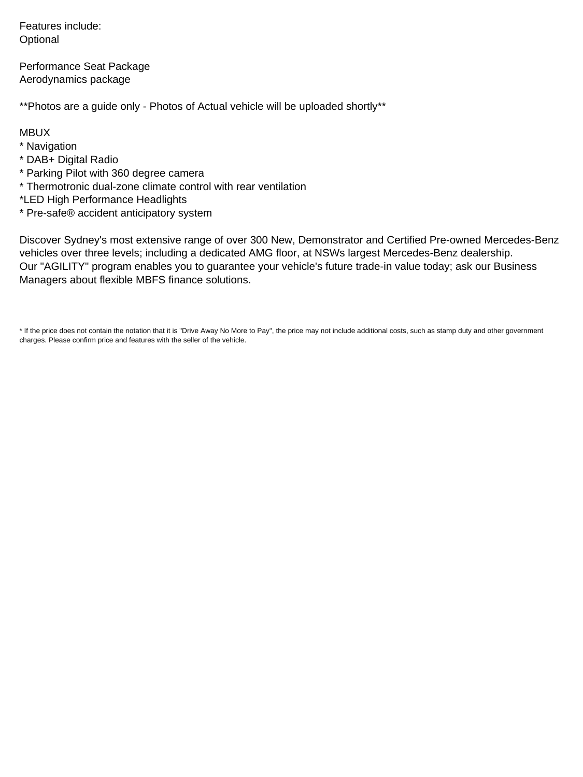Features include: **Optional** 

Performance Seat Package Aerodynamics package

\*\*Photos are a guide only - Photos of Actual vehicle will be uploaded shortly\*\*

MBUX

- \* Navigation
- \* DAB+ Digital Radio
- \* Parking Pilot with 360 degree camera
- \* Thermotronic dual-zone climate control with rear ventilation
- \*LED High Performance Headlights
- \* Pre-safe® accident anticipatory system

Discover Sydney's most extensive range of over 300 New, Demonstrator and Certified Pre-owned Mercedes-Benz vehicles over three levels; including a dedicated AMG floor, at NSWs largest Mercedes-Benz dealership. Our "AGILITY" program enables you to guarantee your vehicle's future trade-in value today; ask our Business Managers about flexible MBFS finance solutions.

\* If the price does not contain the notation that it is "Drive Away No More to Pay", the price may not include additional costs, such as stamp duty and other government charges. Please confirm price and features with the seller of the vehicle.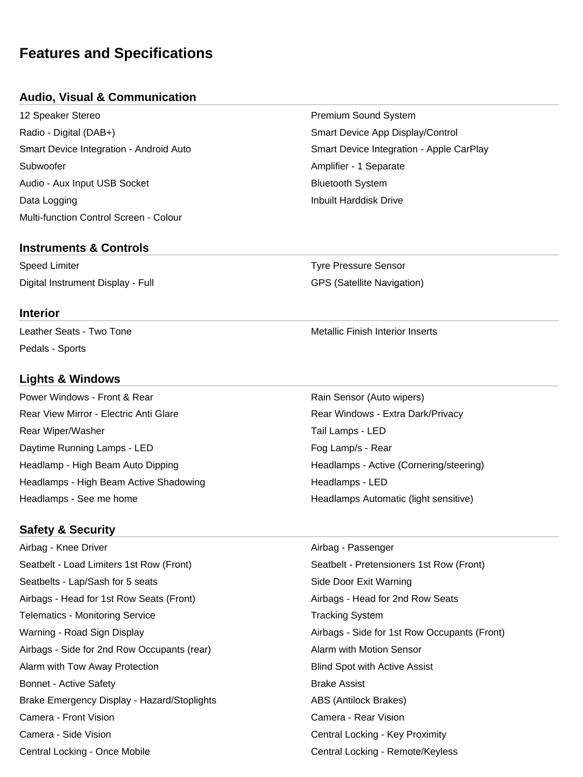# **Features and Specifications**

#### **Audio, Visual & Communication**

12 Speaker Stereo Premium Sound System Radio - Digital (DAB+) Smart Device App Display/Control Subwoofer **Amplifier - 1 Separate** Amplifier - 1 Separate Audio - Aux Input USB Socket **Bluetooth System** Bluetooth System **Data Logging Inbuilt Harddisk Drive Inbuilt Harddisk Drive** Multi-function Control Screen - Colour

# Smart Device Integration - Android Auto Smart Device Integration - Apple CarPlay

# Speed Limiter Tyre Pressure Sensor Digital Instrument Display - Full GPS (Satellite Navigation)

**Interior**

Leather Seats - Two Tone Metallic Finish Interior Inserts Pedals - Sports

**Instruments & Controls**

## **Lights & Windows**

Power Windows - Front & Rear Rain Sensor (Auto wipers) Rear View Mirror - Electric Anti Glare **Rear Windows - Extra Dark/Privacy** Rear Wiper/Washer Tail Lamps - LED Daytime Running Lamps - LED Fog Lamp/s - Rear Headlamp - High Beam Auto Dipping Headlamps - Active (Cornering/steering) Headlamps - High Beam Active Shadowing **Headlamps - LED** Headlamps - See me home **Headlamps Automatic (light sensitive)** Headlamps Automatic (light sensitive)

## **Safety & Security**

Airbag - Knee Driver Airbag - Passenger Seatbelt - Load Limiters 1st Row (Front) Seatbelt - Pretensioners 1st Row (Front) Seatbelts - Lap/Sash for 5 seats Side Door Exit Warning Airbags - Head for 1st Row Seats (Front) Airbags - Head for 2nd Row Seats Telematics - Monitoring Service Tracking System Tracking System Warning - Road Sign Display Airbags - Side for 1st Row Occupants (Front) Airbags - Side for 2nd Row Occupants (rear) Alarm with Motion Sensor Alarm with Tow Away Protection **Blind Spot with Active Assist** Blind Spot with Active Assist Bonnet - Active Safety **Brake Assist** Brake Assist Brake Emergency Display - Hazard/Stoplights **ABS** (Antilock Brakes) Camera - Front Vision Camera - Rear Vision Camera - Side Vision Central Locking - Key Proximity Central Locking - Once Mobile Central Locking - Remote/Keyless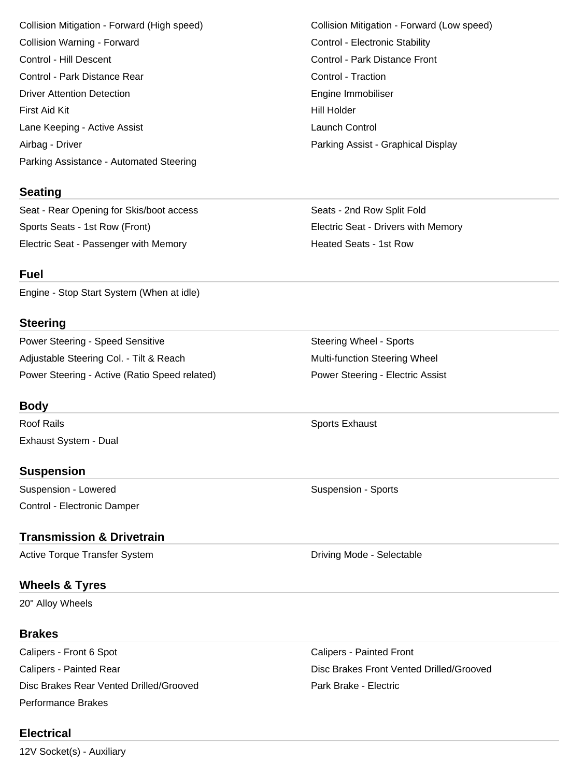Collision Warning - Forward **Control - Electronic Stability** Control - Electronic Stability Control - Hill Descent Control - Park Distance Front Control - Park Distance Rear Control - Traction Driver Attention Detection **Engine Immobiliser** Engine Immobiliser First Aid Kit **Hill Holder First Aid Kit Hill Holder** Lane Keeping - Active Assist **Launch Control** Airbag - Driver Parking Assist - Graphical Display Parking Assistance - Automated Steering

#### **Seating**

Seat - Rear Opening for Skis/boot access Seats - 2nd Row Split Fold Sports Seats - 1st Row (Front) Electric Seat - Drivers with Memory Electric Seat - Passenger with Memory **Electric Seats - 1st Row** 

**Fuel**

Engine - Stop Start System (When at idle)

#### **Steering**

Power Steering - Speed Sensitive Steering Wheel - Sports Adjustable Steering Col. - Tilt & Reach Multi-function Steering Wheel Power Steering - Active (Ratio Speed related) Power Steering - Electric Assist

#### **Body**

Roof Rails **No. 2018** Sports Exhaust **Roof Rails** Sports Exhaust Exhaust System - Dual

#### **Suspension**

Suspension - Lowered **Suspension - Sports** Suspension - Sports Control - Electronic Damper

## **Transmission & Drivetrain**

Active Torque Transfer System **Driving Mode - Selectable** 

#### **Wheels & Tyres**

20" Alloy Wheels

#### **Brakes**

Calipers - Front 6 Spot Calipers - Painted Front Disc Brakes Rear Vented Drilled/Grooved **Park Brake - Electric** Park Brake - Electric Performance Brakes

## **Electrical**

12V Socket(s) - Auxiliary

Collision Mitigation - Forward (High speed) Collision Mitigation - Forward (Low speed)

Calipers - Painted Rear Disc Brakes Front Vented Drilled/Grooved